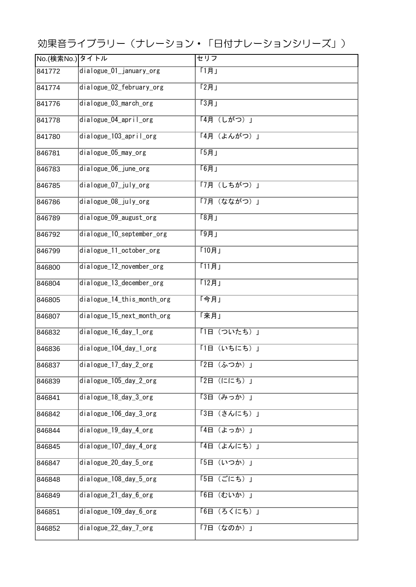効果音ライブラリー(ナレーション・「日付ナレーションシリーズ」)

| No.(検索No.)タイトル |                                    | セリフ          |
|----------------|------------------------------------|--------------|
| 841772         | $dialogue_01$ _january_org         | [1]          |
| 841774         | dialogue_02_february_org           | 「2月」         |
| 841776         | dialogue_03_march_org              | T3H          |
| 841778         | dialogue_04_april_org              | 「4月 (しがつ) 」  |
| 841780         | dialogue_103_april_org             | 「4月 (よんがつ)」  |
| 846781         | dialogue_05_may_org                | T5H          |
| 846783         | $\overline{dialogue_06}\_june_0rg$ | F6H          |
| 846785         | dialogue_07_july_org               | 「7月 (しちがつ)」  |
| 846786         | dialogue_08_july_org               | 「7月 (なながつ)」  |
| 846789         | dialogue_09_august_org             | [8]          |
| 846792         | dialogue_10_september_org          | [9]          |
| 846799         | dialogue_11_october_org            | 「10月」        |
| 846800         | dialogue_12_november_org           | [11]         |
| 846804         | dialogue_13_december_org           | 「12月」        |
| 846805         | dialogue_14_this_month_org         | 「今月」         |
| 846807         | dialogue_15_next_month_org         | 「来月」         |
| 846832         | dialogue_16_day_1_org              | 「1日 (ついたち)」  |
| 846836         | dialogue_104_day_1_org             | 「1日 (いちにち)」  |
| 846837         | dialogue_17_day_2_org              | 「2日(ふつか)」    |
| 846839         | dialogue_105_day_2_org             | 「2日 (ににち) 」  |
| 846841         | dialogue_18_day_3_org              | 「3日 (みっか)」   |
| 846842         | dialogue_106_day_3_org             | 「3日 (さんにち) 」 |
| 846844         | $dialogue_19_day_4.org$            | 「4日 (よっか)」   |
| 846845         | dialogue_107_day_4_org             | 「4日 (よんにち)」  |
| 846847         | dialogue_20_day_5_org              | 「5日 (いつか)」   |
| 846848         | dialogue_108_day_5_org             | 「5日 (ごにち) 」  |
| 846849         | $\overline{dialogue_21_day_6_0rg}$ | 「6日 (むいか)」   |
| 846851         | dialogue_109_day_6_org             | 「6日 (ろくにち)」  |
| 846852         | dialogue_22_day_7_org              | 「7日 (なのか)」   |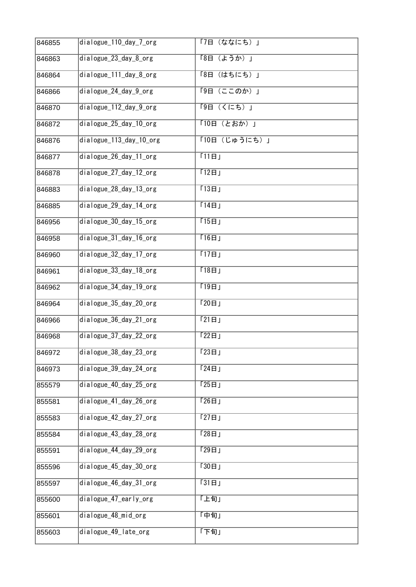| 846855 | dialogue_110_day_7_org   | 「7日(ななにち)」                       |
|--------|--------------------------|----------------------------------|
| 846863 | dialogue_23_day_8_org    | 「8日 (ようか)」                       |
| 846864 | dialogue_111_day_8_org   | (はちにち)」<br>F8E                   |
| 846866 | dialogue_24_day_9_org    | 「9日 (ここのか)」                      |
| 846870 | dialogue_112_day_9_org   | 「9日 (くにち) 」                      |
| 846872 | dialogue_25_day_10_org   | 「10日 (とおか)」                      |
| 846876 | dialogue_113_day_10_org  | 「10日 (じゅうにち)」                    |
| 846877 | dialogue_26_day_11_org   | [11B]                            |
| 846878 | dialogue_27_day_12_org   | [12E]                            |
| 846883 | dialogue_28_day_13_org   | [13B]                            |
| 846885 | dialogue_29_day_14_org   | [14B]                            |
| 846956 | dialogue_30_day_15_org   | 15H                              |
| 846958 | dialogue_31_day_16_org   | [16E]                            |
| 846960 | dialogue_32_day_17_org   | [17E]                            |
| 846961 | dialogue_33_day_18_org   | [18E]                            |
| 846962 | $dialogue_34_day_19_0rg$ | [19E]                            |
| 846964 | dialogue_35_day_20_org   | 120B                             |
| 846966 | dialogue_36_day_21_org   | [21H]                            |
| 846968 | dialogue_37_day_22_org   | 122H                             |
| 846972 | dialogue_38_day_23_org   | $\overline{\Gamma 23\boxplus J}$ |
| 846973 | dialogue_39_day_24_org   | 124H                             |
| 855579 | dialogue_40_day_25_org   | [25B]                            |
| 855581 | dialogue 41 day 26 org   | 126H                             |
| 855583 | dialogue_42_day_27_org   | [27F]                            |
| 855584 | dialogue_43_day_28_org   | 128H                             |
| 855591 | dialogue_44_day_29_org   | 129H                             |
| 855596 | dialogue_45_day_30_org   | [30E]                            |
| 855597 | dialogue_46_day_31_org   | [31H]                            |
| 855600 | dialogue_47_early_org    | 「上旬」                             |
| 855601 | dialogue_48_mid_org      | 「中旬」                             |
| 855603 | dialogue_49_late_org     | 「下旬」                             |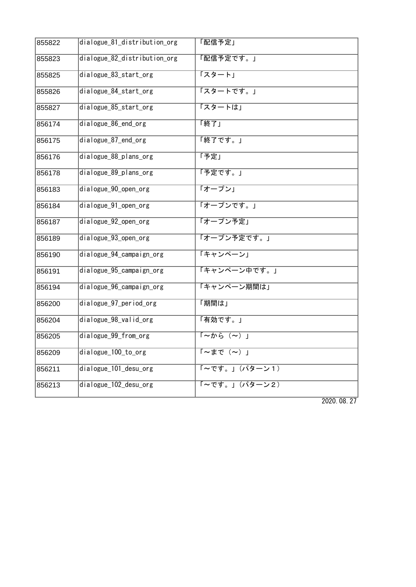| 855822 | dialogue_81_distribution_org | 「配信予定」                                |
|--------|------------------------------|---------------------------------------|
| 855823 | dialogue_82_distribution_org | 「配信予定です。」                             |
| 855825 | dialogue_83_start_org        | 「スタート」                                |
| 855826 | dialogue_84_start_org        | 「スタートです。」                             |
| 855827 | dialogue_85_start_org        | 「スタートは」                               |
| 856174 | dialogue_86_end_org          | 「終了」                                  |
| 856175 | dialogue_87_end_org          | 「終了です。」                               |
| 856176 | dialogue_88_plans_org        | 「予定」                                  |
| 856178 | dialogue 89 plans org        | 「予定です。」                               |
| 856183 | dialogue_90_open_org         | 「オープン」                                |
| 856184 | dialogue_91_open_org         | 「オープンです。」                             |
| 856187 | dialogue_92_open_org         | 「オープン予定」                              |
| 856189 | dialogue 93 open org         | 「オープン予定です。」                           |
| 856190 | dialogue_94_campaign_org     | 「キャンペーン」                              |
| 856191 | dialogue_95_campaign_org     | 「キャンペーン中です。」                          |
| 856194 | dialogue_96_campaign_org     | 「キャンペーン期間は」                           |
| 856200 | dialogue_97_period_org       | 「期間は」                                 |
| 856204 | dialogue_98_valid_org        | 「有効です。」                               |
| 856205 | dialogue_99_from_org         | $\sqrt{2\pi\hbar\omega(\sim)}$        |
| 856209 | dialogue_100_to_org          | $\overline{I \sim \pm \sigma (\sim)}$ |
| 856211 | dialogue_101_desu_org        | 「~です。」(パターン1)                         |
| 856213 | dialogue_102_desu_org        | 「~です。」(パターン2)                         |

2020.08.27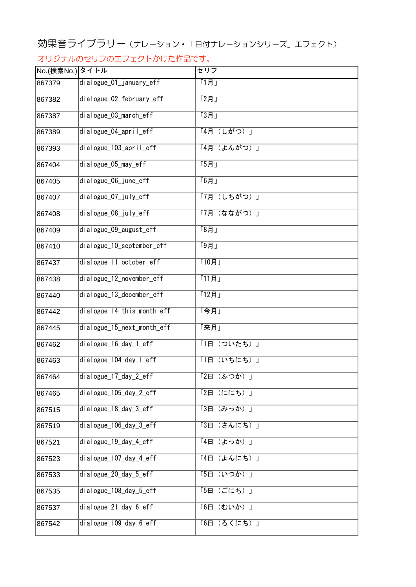## 効果音ライブラリー(ナレーション・「日付ナレーションシリーズ」エフェクト)

## オリジナルのセリフのエフェクトかけた作品です。

| No.(検索No.) タイトル |                            | セリフ         |
|-----------------|----------------------------|-------------|
| 867379          | dialogue_01_january_eff    | 「1月」        |
| 867382          | dialogue_02_february_eff   | [2]         |
| 867387          | dialogue_03_march_eff      | [3]         |
| 867389          | dialogue_04_april_eff      | 「4月 (しがつ) 」 |
| 867393          | dialogue 103 april eff     | 「4月 (よんがつ)」 |
| 867404          | dialogue_05_may_eff        | [5]         |
| 867405          | dialogue_06_june_eff       | T6H         |
| 867407          | dialogue_07_july_eff       | 「7月 (しちがつ)」 |
| 867408          | dialogue_08_july_eff       | 「7月 (なながつ)」 |
| 867409          | dialogue_09_august_eff     | [8]         |
| 867410          | dialogue_10_september_eff  | [9]         |
| 867437          | dialogue_11_october_eff    | 「10月」       |
| 867438          | dialogue_12_november_eff   | 「11月」       |
| 867440          | dialogue_13_december_eff   | 「12月」       |
| 867442          | dialogue_14_this_month_eff | 「今月」        |
| 867445          | dialogue_15_next_month_eff | 「来月」        |
| 867462          | dialogue_16_day_1_eff      | 「1日 (ついたち)」 |
| 867463          | dialogue_104_day_1_eff     | 「1日 (いちにち)」 |
| 867464          | dialogue_17_day_2_eff      | 「2日(ふつか)」   |
| 867465          | dialogue_105_day_2_eff     | 「2日 (ににち) 」 |
| 867515          | dialogue_18_day_3_eff      | 「3日 (みっか)」  |
| 867519          | dialogue_106_day_3_eff     | 「3日 (さんにち)」 |
| 867521          | dialogue_19_day_4_eff      | 「4日 (よっか)」  |
| 867523          | dialogue_107_day_4_eff     | 「4日 (よんにち)」 |
| 867533          | dialogue_20_day_5_eff      | 「5日 (いつか)」  |
| 867535          | dialogue_108_day_5_eff     | 「5日 (ごにち)」  |
| 867537          | dialogue_21_day_6_eff      | 「6日 (むいか)」  |
| 867542          | dialogue_109_day_6_eff     | 「6日 (ろくにち)」 |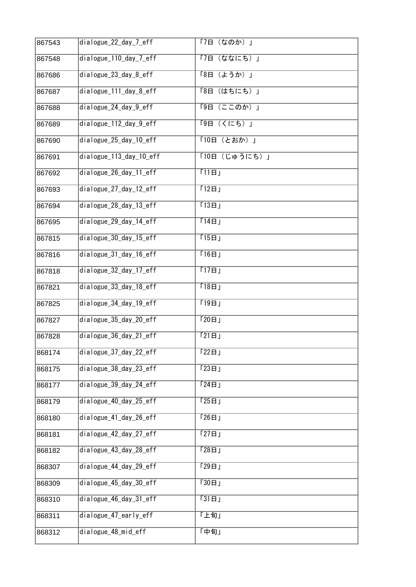| 867543 | dialogue_22_day_7_eff   | (なのか)」<br>「7日    |
|--------|-------------------------|------------------|
| 867548 | dialogue_110_day_7_eff  | 「7日<br>(ななにち)」   |
| 867686 | dialogue_23_day_8_eff   | (ようか)」<br>$F8$ 日 |
| 867687 | dialogue_111_day_8_eff  | F8H<br>(はちにち)」   |
| 867688 | dialogue 24 day 9 eff   | 「9日 (ここのか) 」     |
| 867689 | dialogue_112_day_9_eff  | 「9日 (くにち)」       |
| 867690 | dialogue_25_day_10_eff  | 「10日 (とおか)」      |
| 867691 | dialogue_113_day_10_eff | 「10日 (じゅうにち)」    |
| 867692 | dialogue_26_day_11_eff  | [11B]            |
| 867693 | dialogue_27_day_12_eff  | [12H]            |
| 867694 | dialogue 28 day 13 eff  | [13H]            |
| 867695 | dialogue 29 day 14 eff  | [14B]            |
| 867815 | dialogue_30_day_15_eff  | [15E]            |
| 867816 | dialogue_31_day_16_eff  | [16E]            |
| 867818 | dialogue_32_day_17_eff  | [17E]            |
| 867821 | dialogue_33_day_18_eff  | [18E]            |
| 867825 | dialogue_34_day_19_eff  | 19B              |
| 867827 | dialogue_35_day_20_eff  | 120B             |
| 867828 | dialogue_36_day_21_eff  | [21H]            |
| 868174 | dialogue_37_day_22_eff  | $122$ 日」         |
| 868175 | dialogue_38_day_23_eff  | 123H             |
| 868177 | dialogue_39_day_24_eff  | [24B]            |
| 868179 | dialogue_40_day_25_eff  | [25H]            |
| 868180 | dialogue_41_day_26_eff  | 126H             |
| 868181 | dialogue_42_day_27_eff  | [27E]            |
| 868182 | dialogue_43_day_28_eff  | 128H             |
| 868307 | dialogue_44_day_29_eff  | [29E]            |
| 868309 | dialogue_45_day_30_eff  | [30E]            |
| 868310 | dialogue_46_day_31_eff  | $\sqrt{31H}$     |
| 868311 | dialogue_47_early_eff   | 「上旬」             |
| 868312 | dialogue_48_mid_eff     | 「中旬」             |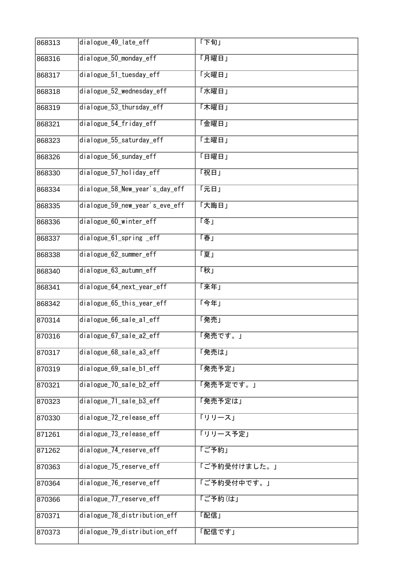| 868313 | dialogue_49_late_eff           | 「下旬」         |
|--------|--------------------------------|--------------|
| 868316 | dialogue 50 monday eff         | 「月曜日」        |
| 868317 | dialogue_51_tuesday_eff        | 「火曜日」        |
| 868318 | dialogue_52_wednesday_eff      | 「水曜日」        |
| 868319 | dialogue_53_thursday_eff       | 「木曜日」        |
| 868321 | dialogue_54_friday_eff         | 「金曜日」        |
| 868323 | dialogue_55_saturday_eff       | 「土曜日」        |
| 868326 | dialogue_56_sunday_eff         | 「日曜日」        |
| 868330 | dialogue_57_holiday_eff        | 「祝日」         |
| 868334 | dialogue_58_New_year's_day_eff | 「元日」         |
| 868335 | dialogue_59_new_year's_eve_eff | 「大晦日」        |
| 868336 | dialogue_60_winter_eff         | 「冬」          |
| 868337 | dialogue_61_spring _eff        | 「春」          |
| 868338 | dialogue_62_summer_eff         | 「夏」          |
| 868340 | dialogue_63_autumn_eff         | 「秋」          |
| 868341 | dialogue_64_next_year_eff      | 「来年」         |
| 868342 | dialogue_65_this_year_eff      | 「今年」         |
| 870314 | dialogue 66 sale al eff        | 「発売」         |
| 870316 | dialogue_67_sale_a2_eff        | 「発売です。」      |
| 870317 | $dialogue_68$ _sale_a $3$ _eff | 「発売は」        |
| 870319 | dialogue_69_sale_b1_eff        | 「発売予定」       |
| 870321 | dialogue 70 sale b2 eff        | 「発売予定です。」    |
| 870323 | dialogue 71 sale b3 eff        | 「発売予定は」      |
| 870330 | dialogue_72_release_eff        | 「リリース」       |
| 871261 | dialogue_73_release_eff        | 「リリース予定」     |
| 871262 | dialogue_74_reserve_eff        | 「ご予約」        |
| 870363 | dialogue_75_reserve_eff        | 「ご予約受付けました。」 |
| 870364 | dialogue_76_reserve_eff        | 「ご予約受付中です。」  |
| 870366 | dialogue_77_reserve_eff        | 「ご予約(は」      |
| 870371 | dialogue_78_distribution_eff   | 「配信」         |
| 870373 | dialogue_79_distribution_eff   | 「配信です」       |